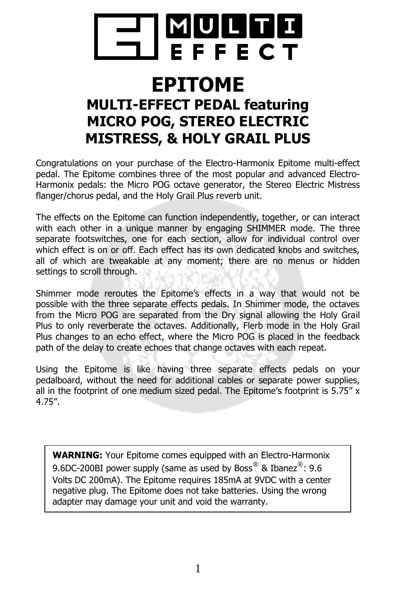

# **EPITOME**

## **MULTI-EFFECT PEDAL featuring MICRO POG, STEREO ELECTRIC MISTRESS, & HOLY GRAIL PLUS**

Congratulations on your purchase of the Electro-Harmonix Epitome multi-effect pedal. The Epitome combines three of the most popular and advanced Electro-Harmonix pedals: the Micro POG octave generator, the Stereo Electric Mistress flanger/chorus pedal, and the Holy Grail Plus reverb unit.

The effects on the Epitome can function independently, together, or can interact with each other in a unique manner by engaging SHIMMER mode. The three separate footswitches, one for each section, allow for individual control over which effect is on or off. Each effect has its own dedicated knobs and switches, all of which are tweakable at any moment; there are no menus or hidden settings to scroll through.

Shimmer mode reroutes the Epitome's effects in a way that would not be possible with the three separate effects pedals. In Shimmer mode, the octaves from the Micro POG are separated from the Dry signal allowing the Holy Grail Plus to only reverberate the octaves. Additionally, Flerb mode in the Holy Grail Plus changes to an echo effect, where the Micro POG is placed in the feedback path of the delay to create echoes that change octaves with each repeat.

Using the Epitome is like having three separate effects pedals on your pedalboard, without the need for additional cables or separate power supplies, all in the footprint of one medium sized pedal. The Epitome's footprint is  $5.75'' x$ 4.75".

**WARNING:** Your Epitome comes equipped with an Electro-Harmonix 9.6DC-200BI power supply (same as used by Boss $^{\circledR}$  & Ibanez $^{\circledR}$ : 9.6 Volts DC 200mA). The Epitome requires 185mA at 9VDC with a center negative plug. The Epitome does not take batteries. Using the wrong adapter may damage your unit and void the warranty.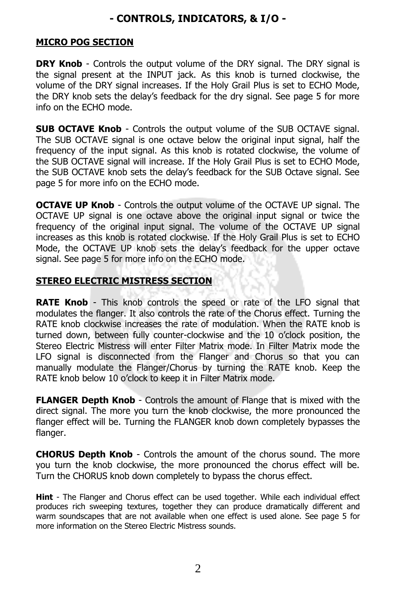## **- CONTROLS, INDICATORS, & I/O -**

#### **MICRO POG SECTION**

**DRY Knob** - Controls the output volume of the DRY signal. The DRY signal is the signal present at the INPUT jack. As this knob is turned clockwise, the volume of the DRY signal increases. If the Holy Grail Plus is set to ECHO Mode, the DRY knob sets the delay's feedback for the dry signal. See page 5 for more info on the ECHO mode.

**SUB OCTAVE Knob** - Controls the output volume of the SUB OCTAVE signal. The SUB OCTAVE signal is one octave below the original input signal, half the frequency of the input signal. As this knob is rotated clockwise, the volume of the SUB OCTAVE signal will increase. If the Holy Grail Plus is set to ECHO Mode, the SUB OCTAVE knob sets the delay's feedback for the SUB Octave signal. See page 5 for more info on the ECHO mode.

**OCTAVE UP Knob** - Controls the output volume of the OCTAVE UP signal. The OCTAVE UP signal is one octave above the original input signal or twice the frequency of the original input signal. The volume of the OCTAVE UP signal increases as this knob is rotated clockwise. If the Holy Grail Plus is set to ECHO Mode, the OCTAVE UP knob sets the delay's feedback for the upper octave signal. See page 5 for more info on the ECHO mode.

#### **STEREO ELECTRIC MISTRESS SECTION**

**RATE Knob** - This knob controls the speed or rate of the LFO signal that modulates the flanger. It also controls the rate of the Chorus effect. Turning the RATE knob clockwise increases the rate of modulation. When the RATE knob is turned down, between fully counter-clockwise and the 10 o'clock position, the Stereo Electric Mistress will enter Filter Matrix mode. In Filter Matrix mode the LFO signal is disconnected from the Flanger and Chorus so that you can manually modulate the Flanger/Chorus by turning the RATE knob. Keep the RATE knob below 10 o'clock to keep it in Filter Matrix mode.

**FLANGER Depth Knob** - Controls the amount of Flange that is mixed with the direct signal. The more you turn the knob clockwise, the more pronounced the flanger effect will be. Turning the FLANGER knob down completely bypasses the flanger.

**CHORUS Depth Knob** - Controls the amount of the chorus sound. The more you turn the knob clockwise, the more pronounced the chorus effect will be. Turn the CHORUS knob down completely to bypass the chorus effect.

**Hint** - The Flanger and Chorus effect can be used together. While each individual effect produces rich sweeping textures, together they can produce dramatically different and warm soundscapes that are not available when one effect is used alone. See page 5 for more information on the Stereo Electric Mistress sounds.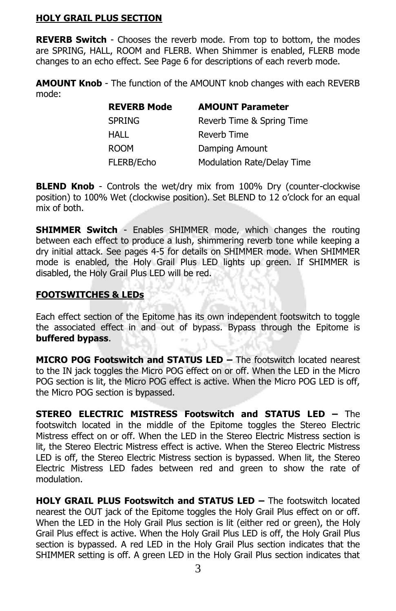#### **HOLY GRAIL PLUS SECTION**

**REVERB Switch** - Chooses the reverb mode. From top to bottom, the modes are SPRING, HALL, ROOM and FLERB. When Shimmer is enabled, FLERB mode changes to an echo effect. See Page 6 for descriptions of each reverb mode.

**AMOUNT Knob** - The function of the AMOUNT knob changes with each REVERB mode:

| <b>REVERB Mode</b> | <b>AMOUNT Parameter</b>    |
|--------------------|----------------------------|
| <b>SPRING</b>      | Reverb Time & Spring Time  |
| HALL               | Reverb Time                |
| <b>ROOM</b>        | Damping Amount             |
| FLERB/Echo         | Modulation Rate/Delay Time |

**BLEND Knob** - Controls the wet/dry mix from 100% Dry (counter-clockwise position) to 100% Wet (clockwise position). Set BLEND to 12 o'clock for an equal mix of both.

**SHIMMER Switch** - Enables SHIMMER mode, which changes the routing between each effect to produce a lush, shimmering reverb tone while keeping a dry initial attack. See pages 4-5 for details on SHIMMER mode. When SHIMMER mode is enabled, the Holy Grail Plus LED lights up green. If SHIMMER is disabled, the Holy Grail Plus LED will be red.

#### **FOOTSWITCHES & LEDs**

Each effect section of the Epitome has its own independent footswitch to toggle the associated effect in and out of bypass. Bypass through the Epitome is **buffered bypass**.

**MICRO POG Footswitch and STATUS LED –** The footswitch located nearest to the IN jack toggles the Micro POG effect on or off. When the LED in the Micro POG section is lit, the Micro POG effect is active. When the Micro POG LED is off, the Micro POG section is bypassed.

**STEREO ELECTRIC MISTRESS Footswitch and STATUS LED –** The footswitch located in the middle of the Epitome toggles the Stereo Electric Mistress effect on or off. When the LED in the Stereo Electric Mistress section is lit, the Stereo Electric Mistress effect is active. When the Stereo Electric Mistress LED is off, the Stereo Electric Mistress section is bypassed. When lit, the Stereo Electric Mistress LED fades between red and green to show the rate of modulation.

**HOLY GRAIL PLUS Footswitch and STATUS LED –** The footswitch located nearest the OUT jack of the Epitome toggles the Holy Grail Plus effect on or off. When the LED in the Holy Grail Plus section is lit (either red or green), the Holy Grail Plus effect is active. When the Holy Grail Plus LED is off, the Holy Grail Plus section is bypassed. A red LED in the Holy Grail Plus section indicates that the SHIMMER setting is off. A green LED in the Holy Grail Plus section indicates that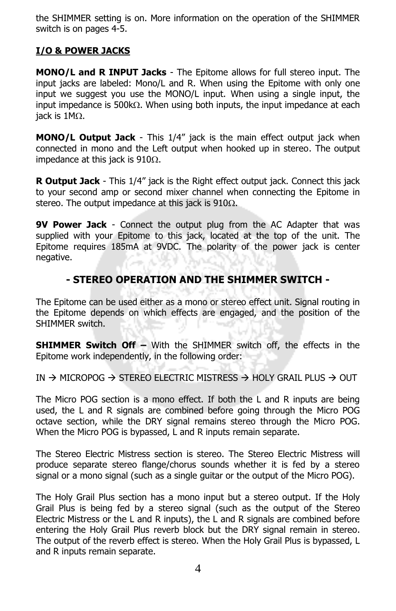the SHIMMER setting is on. More information on the operation of the SHIMMER switch is on pages 4-5.

## **I/O & POWER JACKS**

**MONO/L and R INPUT Jacks** - The Epitome allows for full stereo input. The input jacks are labeled: Mono/L and R. When using the Epitome with only one input we suggest you use the MONO/L input. When using a single input, the input impedance is 500 $k\Omega$ . When using both inputs, the input impedance at each iack is  $1M<sub>\Omega</sub>$ .

**MONO/L Output Jack** - This 1/4" jack is the main effect output jack when connected in mono and the Left output when hooked up in stereo. The output impedance at this jack is  $910\Omega$ .

**R Output Jack** - This 1/4" jack is the Right effect output jack. Connect this jack to your second amp or second mixer channel when connecting the Epitome in stereo. The output impedance at this jack is  $910\Omega$ .

**9V Power Jack** - Connect the output plug from the AC Adapter that was supplied with your Epitome to this jack, located at the top of the unit. The Epitome requires 185mA at 9VDC. The polarity of the power jack is center negative.

## **- STEREO OPERATION AND THE SHIMMER SWITCH -**

The Epitome can be used either as a mono or stereo effect unit. Signal routing in the Epitome depends on which effects are engaged, and the position of the SHIMMER switch.

**SHIMMER Switch Off –** With the SHIMMER switch off, the effects in the Epitome work independently, in the following order:

IN  $\rightarrow$  MICROPOG  $\rightarrow$  STEREO ELECTRIC MISTRESS  $\rightarrow$  HOLY GRAIL PLUS  $\rightarrow$  OUT

The Micro POG section is a mono effect. If both the L and R inputs are being used, the L and R signals are combined before going through the Micro POG octave section, while the DRY signal remains stereo through the Micro POG. When the Micro POG is bypassed, L and R inputs remain separate.

The Stereo Electric Mistress section is stereo. The Stereo Electric Mistress will produce separate stereo flange/chorus sounds whether it is fed by a stereo signal or a mono signal (such as a single guitar or the output of the Micro POG).

The Holy Grail Plus section has a mono input but a stereo output. If the Holy Grail Plus is being fed by a stereo signal (such as the output of the Stereo Electric Mistress or the L and R inputs), the L and R signals are combined before entering the Holy Grail Plus reverb block but the DRY signal remain in stereo. The output of the reverb effect is stereo. When the Holy Grail Plus is bypassed, L and R inputs remain separate.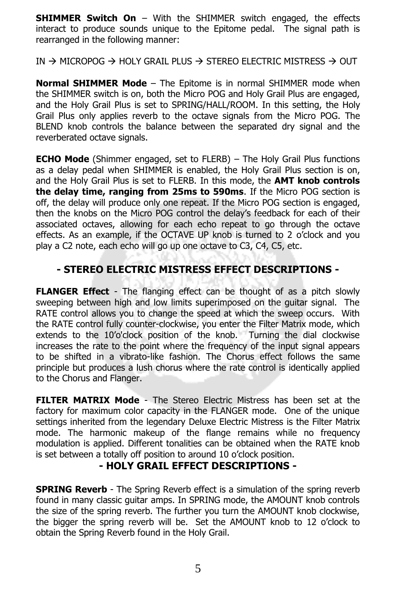**SHIMMER Switch On** – With the SHIMMER switch engaged, the effects interact to produce sounds unique to the Epitome pedal. The signal path is rearranged in the following manner:

IN  $\rightarrow$  MICROPOG  $\rightarrow$  HOLY GRAIL PLUS  $\rightarrow$  STEREO ELECTRIC MISTRESS  $\rightarrow$  OUT

**Normal SHIMMER Mode** – The Epitome is in normal SHIMMER mode when the SHIMMER switch is on, both the Micro POG and Holy Grail Plus are engaged, and the Holy Grail Plus is set to SPRING/HALL/ROOM. In this setting, the Holy Grail Plus only applies reverb to the octave signals from the Micro POG. The BLEND knob controls the balance between the separated dry signal and the reverberated octave signals.

**ECHO Mode** (Shimmer engaged, set to FLERB) – The Holy Grail Plus functions as a delay pedal when SHIMMER is enabled, the Holy Grail Plus section is on, and the Holy Grail Plus is set to FLERB. In this mode, the **AMT knob controls the delay time, ranging from 25ms to 590ms**. If the Micro POG section is off, the delay will produce only one repeat. If the Micro POG section is engaged, then the knobs on the Micro POG control the delay's feedback for each of their associated octaves, allowing for each echo repeat to go through the octave effects. As an example, if the OCTAVE UP knob is turned to 2 o'clock and you play a C2 note, each echo will go up one octave to C3, C4, C5, etc.

### **- STEREO ELECTRIC MISTRESS EFFECT DESCRIPTIONS -**

**FLANGER Effect** - The flanging effect can be thought of as a pitch slowly sweeping between high and low limits superimposed on the guitar signal. The RATE control allows you to change the speed at which the sweep occurs. With the RATE control fully counter-clockwise, you enter the Filter Matrix mode, which extends to the 10'o'clock position of the knob. Turning the dial clockwise increases the rate to the point where the frequency of the input signal appears to be shifted in a vibrato-like fashion. The Chorus effect follows the same principle but produces a lush chorus where the rate control is identically applied to the Chorus and Flanger.

**FILTER MATRIX Mode** - The Stereo Electric Mistress has been set at the factory for maximum color capacity in the FLANGER mode. One of the unique settings inherited from the legendary Deluxe Electric Mistress is the Filter Matrix mode. The harmonic makeup of the flange remains while no frequency modulation is applied. Different tonalities can be obtained when the RATE knob is set between a totally off position to around 10 o'clock position.

#### **- HOLY GRAIL EFFECT DESCRIPTIONS -**

**SPRING Reverb** - The Spring Reverb effect is a simulation of the spring reverb found in many classic guitar amps. In SPRING mode, the AMOUNT knob controls the size of the spring reverb. The further you turn the AMOUNT knob clockwise, the bigger the spring reverb will be. Set the AMOUNT knob to 12 o'clock to obtain the Spring Reverb found in the Holy Grail.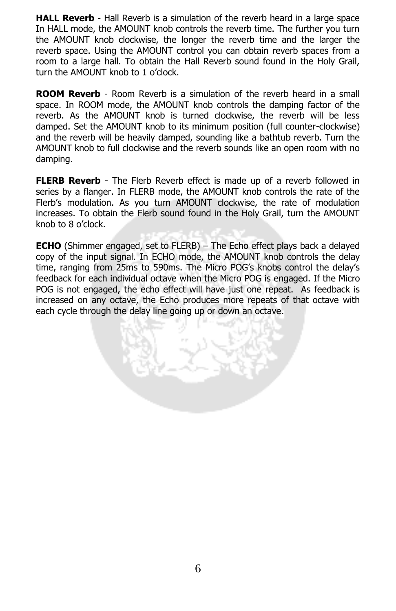**HALL Reverb** - Hall Reverb is a simulation of the reverb heard in a large space In HALL mode, the AMOUNT knob controls the reverb time. The further you turn the AMOUNT knob clockwise, the longer the reverb time and the larger the reverb space. Using the AMOUNT control you can obtain reverb spaces from a room to a large hall. To obtain the Hall Reverb sound found in the Holy Grail, turn the AMOUNT knob to 1 o'clock.

**ROOM Reverb** - Room Reverb is a simulation of the reverb heard in a small space. In ROOM mode, the AMOUNT knob controls the damping factor of the reverb. As the AMOUNT knob is turned clockwise, the reverb will be less damped. Set the AMOUNT knob to its minimum position (full counter-clockwise) and the reverb will be heavily damped, sounding like a bathtub reverb. Turn the AMOUNT knob to full clockwise and the reverb sounds like an open room with no damping.

**FLERB Reverb** - The Flerb Reverb effect is made up of a reverb followed in series by a flanger. In FLERB mode, the AMOUNT knob controls the rate of the Flerb's modulation. As you turn AMOUNT clockwise, the rate of modulation increases. To obtain the Flerb sound found in the Holy Grail, turn the AMOUNT knob to 8 o'clock.

**ECHO** (Shimmer engaged, set to FLERB) – The Echo effect plays back a delayed copy of the input signal. In ECHO mode, the AMOUNT knob controls the delay time, ranging from 25ms to 590ms. The Micro POG's knobs control the delay's feedback for each individual octave when the Micro POG is engaged. If the Micro POG is not engaged, the echo effect will have just one repeat. As feedback is increased on any octave, the Echo produces more repeats of that octave with each cycle through the delay line going up or down an octave.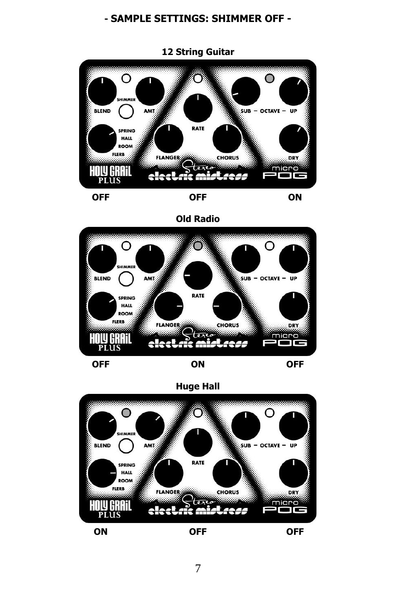## **- SAMPLE SETTINGS: SHIMMER OFF -**



**Old Radio**





**Huge Hall**

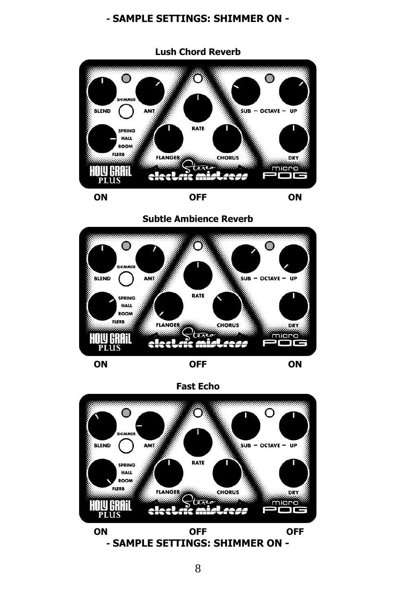#### **- SAMPLE SETTINGS: SHIMMER ON -**



**Subtle Ambience Reverb**





**Fast Echo**



**- SAMPLE SETTINGS: SHIMMER ON -**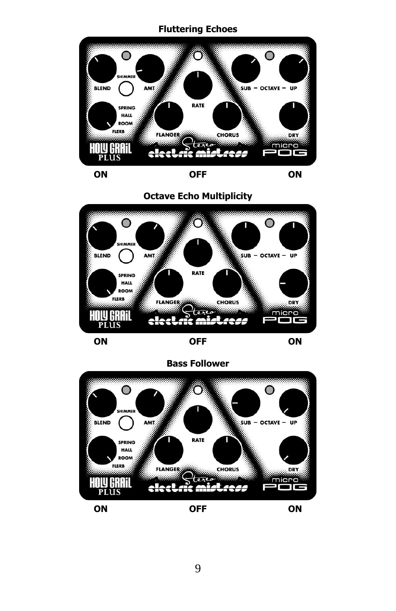#### **Fluttering Echoes**



**Octave Echo Multiplicity**





**Bass Follower**



**ON OFF ON**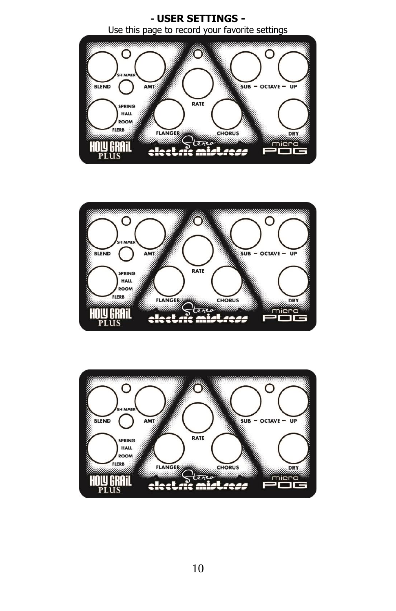



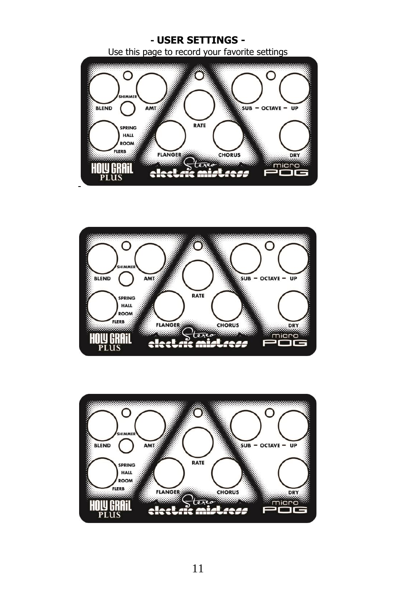